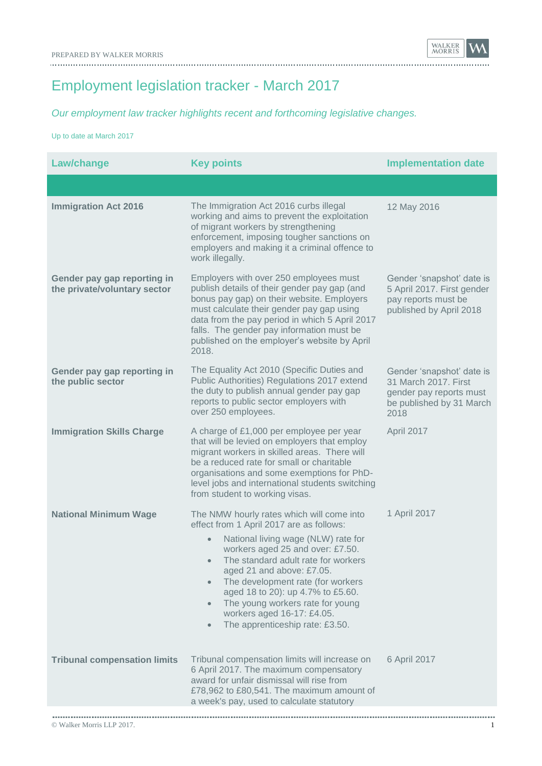Employment legislation tracker - March 2017

*Our employment law tracker highlights recent and forthcoming legislative changes.*

Up to date at March 2017

| <b>Law/change</b>                                           | <b>Key points</b>                                                                                                                                                                                                                                                                                                                                                                                                                             | <b>Implementation date</b>                                                                                       |
|-------------------------------------------------------------|-----------------------------------------------------------------------------------------------------------------------------------------------------------------------------------------------------------------------------------------------------------------------------------------------------------------------------------------------------------------------------------------------------------------------------------------------|------------------------------------------------------------------------------------------------------------------|
|                                                             |                                                                                                                                                                                                                                                                                                                                                                                                                                               |                                                                                                                  |
| <b>Immigration Act 2016</b>                                 | The Immigration Act 2016 curbs illegal<br>working and aims to prevent the exploitation<br>of migrant workers by strengthening<br>enforcement, imposing tougher sanctions on<br>employers and making it a criminal offence to<br>work illegally.                                                                                                                                                                                               | 12 May 2016                                                                                                      |
| Gender pay gap reporting in<br>the private/voluntary sector | Employers with over 250 employees must<br>publish details of their gender pay gap (and<br>bonus pay gap) on their website. Employers<br>must calculate their gender pay gap using<br>data from the pay period in which 5 April 2017<br>falls. The gender pay information must be<br>published on the employer's website by April<br>2018.                                                                                                     | Gender 'snapshot' date is<br>5 April 2017. First gender<br>pay reports must be<br>published by April 2018        |
| Gender pay gap reporting in<br>the public sector            | The Equality Act 2010 (Specific Duties and<br>Public Authorities) Regulations 2017 extend<br>the duty to publish annual gender pay gap<br>reports to public sector employers with<br>over 250 employees.                                                                                                                                                                                                                                      | Gender 'snapshot' date is<br>31 March 2017. First<br>gender pay reports must<br>be published by 31 March<br>2018 |
| <b>Immigration Skills Charge</b>                            | A charge of £1,000 per employee per year<br>that will be levied on employers that employ<br>migrant workers in skilled areas. There will<br>be a reduced rate for small or charitable<br>organisations and some exemptions for PhD-<br>level jobs and international students switching<br>from student to working visas.                                                                                                                      | April 2017                                                                                                       |
| <b>National Minimum Wage</b>                                | The NMW hourly rates which will come into<br>effect from 1 April 2017 are as follows:<br>National living wage (NLW) rate for<br>workers aged 25 and over: £7.50.<br>The standard adult rate for workers<br>aged 21 and above: £7.05.<br>The development rate (for workers<br>$\bullet$<br>aged 18 to 20): up 4.7% to £5.60.<br>The young workers rate for young<br>workers aged 16-17: £4.05.<br>The apprenticeship rate: £3.50.<br>$\bullet$ | 1 April 2017                                                                                                     |
| <b>Tribunal compensation limits</b>                         | Tribunal compensation limits will increase on<br>6 April 2017. The maximum compensatory<br>award for unfair dismissal will rise from<br>£78,962 to £80,541. The maximum amount of<br>a week's pay, used to calculate statutory                                                                                                                                                                                                                | 6 April 2017                                                                                                     |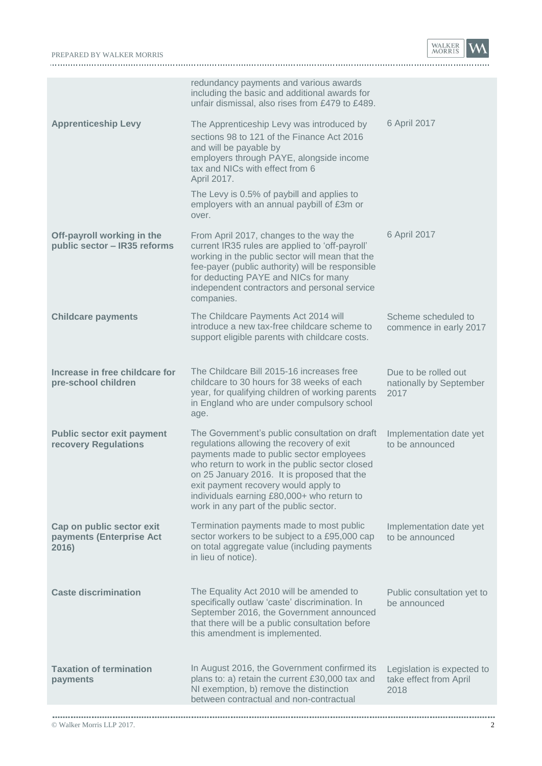## PREPARED BY WALKER MORRIS **WALKER MORRIS**

WALKER<br>MORRIS

|                                                                | redundancy payments and various awards<br>including the basic and additional awards for<br>unfair dismissal, also rises from £479 to £489.                                                                                                                                                                                                                              |                                                              |
|----------------------------------------------------------------|-------------------------------------------------------------------------------------------------------------------------------------------------------------------------------------------------------------------------------------------------------------------------------------------------------------------------------------------------------------------------|--------------------------------------------------------------|
| <b>Apprenticeship Levy</b>                                     | The Apprenticeship Levy was introduced by<br>sections 98 to 121 of the Finance Act 2016<br>and will be payable by<br>employers through PAYE, alongside income<br>tax and NICs with effect from 6<br>April 2017.                                                                                                                                                         | 6 April 2017                                                 |
|                                                                | The Levy is 0.5% of paybill and applies to<br>employers with an annual paybill of £3m or<br>over.                                                                                                                                                                                                                                                                       |                                                              |
| Off-payroll working in the<br>public sector - IR35 reforms     | From April 2017, changes to the way the<br>current IR35 rules are applied to 'off-payroll'<br>working in the public sector will mean that the<br>fee-payer (public authority) will be responsible<br>for deducting PAYE and NICs for many<br>independent contractors and personal service<br>companies.                                                                 | 6 April 2017                                                 |
| <b>Childcare payments</b>                                      | The Childcare Payments Act 2014 will<br>introduce a new tax-free childcare scheme to<br>support eligible parents with childcare costs.                                                                                                                                                                                                                                  | Scheme scheduled to<br>commence in early 2017                |
| Increase in free childcare for<br>pre-school children          | The Childcare Bill 2015-16 increases free<br>childcare to 30 hours for 38 weeks of each<br>year, for qualifying children of working parents<br>in England who are under compulsory school<br>age.                                                                                                                                                                       | Due to be rolled out<br>nationally by September<br>2017      |
| <b>Public sector exit payment</b><br>recovery Regulations      | The Government's public consultation on draft<br>regulations allowing the recovery of exit<br>payments made to public sector employees<br>who return to work in the public sector closed<br>on 25 January 2016. It is proposed that the<br>exit payment recovery would apply to<br>individuals earning £80,000+ who return to<br>work in any part of the public sector. | Implementation date yet<br>to be announced                   |
| Cap on public sector exit<br>payments (Enterprise Act<br>2016) | Termination payments made to most public<br>sector workers to be subject to a £95,000 cap<br>on total aggregate value (including payments<br>in lieu of notice).                                                                                                                                                                                                        | Implementation date yet<br>to be announced                   |
| <b>Caste discrimination</b>                                    | The Equality Act 2010 will be amended to<br>specifically outlaw 'caste' discrimination. In<br>September 2016, the Government announced<br>that there will be a public consultation before<br>this amendment is implemented.                                                                                                                                             | Public consultation yet to<br>be announced                   |
| <b>Taxation of termination</b><br>payments                     | In August 2016, the Government confirmed its<br>plans to: a) retain the current £30,000 tax and<br>NI exemption, b) remove the distinction<br>between contractual and non-contractual                                                                                                                                                                                   | Legislation is expected to<br>take effect from April<br>2018 |